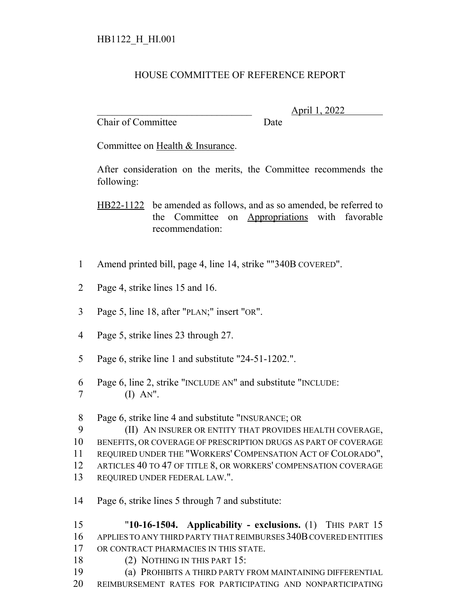## HOUSE COMMITTEE OF REFERENCE REPORT

Chair of Committee Date

\_\_\_\_\_\_\_\_\_\_\_\_\_\_\_\_\_\_\_\_\_\_\_\_\_\_\_\_\_\_\_ April 1, 2022

Committee on Health & Insurance.

After consideration on the merits, the Committee recommends the following:

HB22-1122 be amended as follows, and as so amended, be referred to the Committee on Appropriations with favorable recommendation:

- Amend printed bill, page 4, line 14, strike ""340B COVERED".
- Page 4, strike lines 15 and 16.
- Page 5, line 18, after "PLAN;" insert "OR".
- Page 5, strike lines 23 through 27.
- Page 6, strike line 1 and substitute "24-51-1202.".
- Page 6, line 2, strike "INCLUDE AN" and substitute "INCLUDE:
- (I) AN".

Page 6, strike line 4 and substitute "INSURANCE; OR

 (II) AN INSURER OR ENTITY THAT PROVIDES HEALTH COVERAGE, BENEFITS, OR COVERAGE OF PRESCRIPTION DRUGS AS PART OF COVERAGE REQUIRED UNDER THE "WORKERS' COMPENSATION ACT OF COLORADO", ARTICLES 40 TO 47 OF TITLE 8, OR WORKERS' COMPENSATION COVERAGE REQUIRED UNDER FEDERAL LAW.".

Page 6, strike lines 5 through 7 and substitute:

 "**10-16-1504. Applicability - exclusions.** (1) THIS PART 15 APPLIES TO ANY THIRD PARTY THAT REIMBURSES 340B COVERED ENTITIES OR CONTRACT PHARMACIES IN THIS STATE.

- (2) NOTHING IN THIS PART 15:
- (a) PROHIBITS A THIRD PARTY FROM MAINTAINING DIFFERENTIAL
- REIMBURSEMENT RATES FOR PARTICIPATING AND NONPARTICIPATING